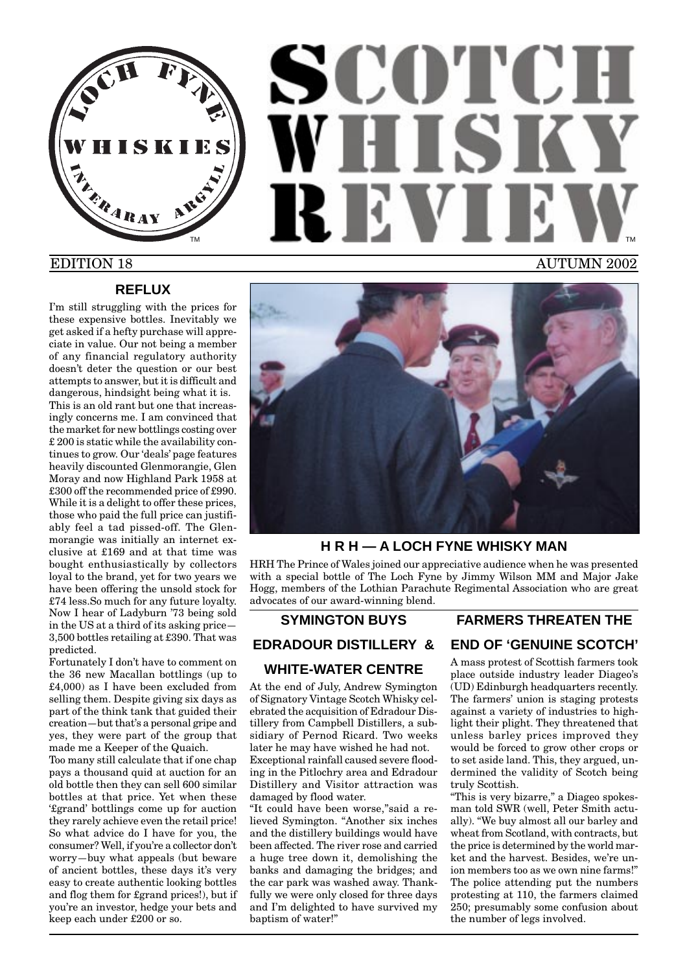

# SCOTCH WHISKY REV TM **THE REPORT OF STATE OF STATE OF STATE OF STATE OF STATE OF STATE OF STATE OF STATE OF STATE OF STATE OF STATE OF STATE OF STATE OF STATE OF STATE OF STATE OF STATE OF STATE OF STATE OF STATE OF STATE OF STATE OF STATE** EDITION 18 AUTUMN 2002

#### **REFLUX**

I'm still struggling with the prices for these expensive bottles. Inevitably we get asked if a hefty purchase will appreciate in value. Our not being a member of any financial regulatory authority doesn't deter the question or our best attempts to answer, but it is difficult and

dangerous, hindsight being what it is. This is an old rant but one that increasingly concerns me. I am convinced that the market for new bottlings costing over £ 200 is static while the availability continues to grow. Our 'deals' page features heavily discounted Glenmorangie, Glen Moray and now Highland Park 1958 at £300 off the recommended price of £990. While it is a delight to offer these prices, those who paid the full price can justifiably feel a tad pissed-off. The Glenmorangie was initially an internet exclusive at £169 and at that time was bought enthusiastically by collectors loyal to the brand, yet for two years we have been offering the unsold stock for £74 less.So much for any future loyalty. Now I hear of Ladyburn '73 being sold in the US at a third of its asking price— 3,500 bottles retailing at £390. That was predicted.

Fortunately I don't have to comment on the 36 new Macallan bottlings (up to £4,000) as I have been excluded from selling them. Despite giving six days as part of the think tank that guided their creation—but that's a personal gripe and yes, they were part of the group that made me a Keeper of the Quaich.

Too many still calculate that if one chap pays a thousand quid at auction for an old bottle then they can sell 600 similar bottles at that price. Yet when these '£grand' bottlings come up for auction they rarely achieve even the retail price! So what advice do I have for you, the consumer? Well, if you're a collector don't worry—buy what appeals (but beware of ancient bottles, these days it's very easy to create authentic looking bottles and flog them for £grand prices!), but if you're an investor, hedge your bets and keep each under £200 or so.



# **H R H — A LOCH FYNE WHISKY MAN**

HRH The Prince of Wales joined our appreciative audience when he was presented with a special bottle of The Loch Fyne by Jimmy Wilson MM and Major Jake Hogg, members of the Lothian Parachute Regimental Association who are great advocates of our award-winning blend.

# **SYMINGTON BUYS**

**EDRADOUR DISTILLERY &**

#### **WHITE-WATER CENTRE**

At the end of July, Andrew Symington of Signatory Vintage Scotch Whisky celebrated the acquisition of Edradour Distillery from Campbell Distillers, a subsidiary of Pernod Ricard. Two weeks later he may have wished he had not. Exceptional rainfall caused severe flooding in the Pitlochry area and Edradour Distillery and Visitor attraction was damaged by flood water.

"It could have been worse,"said a relieved Symington. "Another six inches and the distillery buildings would have been affected. The river rose and carried a huge tree down it, demolishing the banks and damaging the bridges; and the car park was washed away. Thankfully we were only closed for three days and I'm delighted to have survived my baptism of water!"

# **FARMERS THREATEN THE END OF 'GENUINE SCOTCH'**

A mass protest of Scottish farmers took place outside industry leader Diageo's (UD) Edinburgh headquarters recently. The farmers' union is staging protests against a variety of industries to highlight their plight. They threatened that unless barley prices improved they would be forced to grow other crops or to set aside land. This, they argued, undermined the validity of Scotch being truly Scottish.

"This is very bizarre," a Diageo spokesman told SWR (well, Peter Smith actually). "We buy almost all our barley and wheat from Scotland, with contracts, but the price is determined by the world market and the harvest. Besides, we're union members too as we own nine farms!" The police attending put the numbers protesting at 110, the farmers claimed 250; presumably some confusion about the number of legs involved.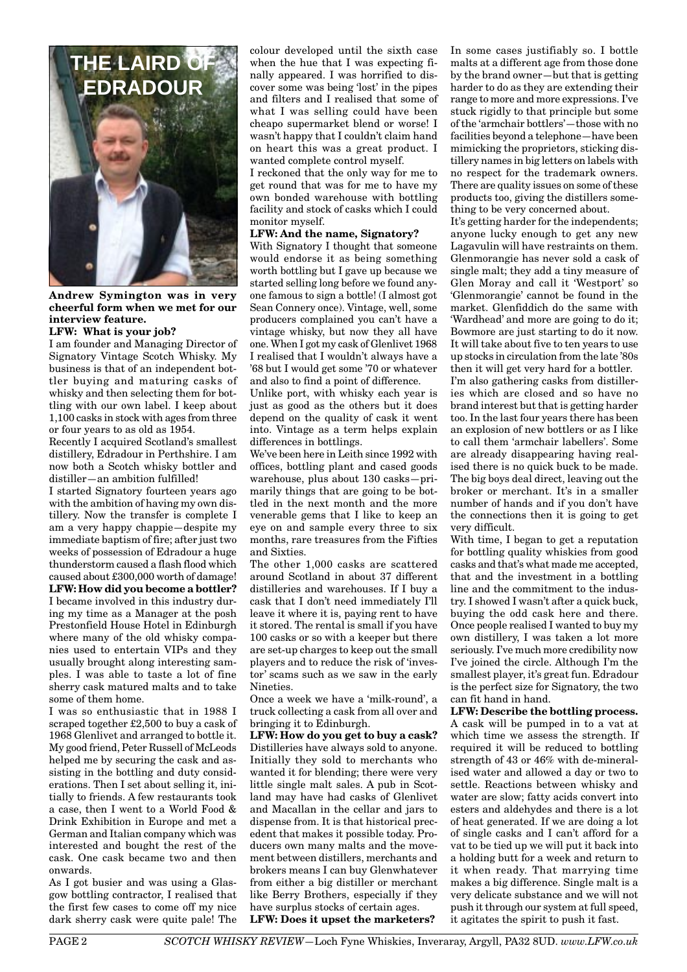

**Andrew Symington was in very cheerful form when we met for our interview feature.**

#### **LFW: What is your job?**

I am founder and Managing Director of Signatory Vintage Scotch Whisky. My business is that of an independent bottler buying and maturing casks of whisky and then selecting them for bottling with our own label. I keep about 1,100 casks in stock with ages from three or four years to as old as 1954.

Recently I acquired Scotland's smallest distillery, Edradour in Perthshire. I am now both a Scotch whisky bottler and distiller—an ambition fulfilled!

I started Signatory fourteen years ago with the ambition of having my own distillery. Now the transfer is complete I am a very happy chappie—despite my immediate baptism of fire; after just two weeks of possession of Edradour a huge thunderstorm caused a flash flood which caused about £300,000 worth of damage! **LFW: How did you become a bottler?**

I became involved in this industry during my time as a Manager at the posh Prestonfield House Hotel in Edinburgh where many of the old whisky companies used to entertain VIPs and they usually brought along interesting samples. I was able to taste a lot of fine sherry cask matured malts and to take some of them home.

I was so enthusiastic that in 1988 I scraped together £2,500 to buy a cask of 1968 Glenlivet and arranged to bottle it. My good friend, Peter Russell of McLeods helped me by securing the cask and assisting in the bottling and duty considerations. Then I set about selling it, initially to friends. A few restaurants took a case, then I went to a World Food & Drink Exhibition in Europe and met a German and Italian company which was interested and bought the rest of the cask. One cask became two and then onwards.

As I got busier and was using a Glasgow bottling contractor, I realised that the first few cases to come off my nice dark sherry cask were quite pale! The colour developed until the sixth case when the hue that I was expecting finally appeared. I was horrified to discover some was being 'lost' in the pipes and filters and I realised that some of what I was selling could have been cheapo supermarket blend or worse! I wasn't happy that I couldn't claim hand on heart this was a great product. I wanted complete control myself.

I reckoned that the only way for me to get round that was for me to have my own bonded warehouse with bottling facility and stock of casks which I could monitor myself.

#### **LFW: And the name, Signatory?**

With Signatory I thought that someone would endorse it as being something worth bottling but I gave up because we started selling long before we found anyone famous to sign a bottle! (I almost got Sean Connery once). Vintage, well, some producers complained you can't have a vintage whisky, but now they all have one. When I got my cask of Glenlivet 1968 I realised that I wouldn't always have a '68 but I would get some '70 or whatever and also to find a point of difference.

Unlike port, with whisky each year is just as good as the others but it does depend on the quality of cask it went into. Vintage as a term helps explain differences in bottlings.

We've been here in Leith since 1992 with offices, bottling plant and cased goods warehouse, plus about 130 casks—primarily things that are going to be bottled in the next month and the more venerable gems that I like to keep an eye on and sample every three to six months, rare treasures from the Fifties and Sixties.

The other 1,000 casks are scattered around Scotland in about 37 different distilleries and warehouses. If I buy a cask that I don't need immediately I'll leave it where it is, paying rent to have it stored. The rental is small if you have 100 casks or so with a keeper but there are set-up charges to keep out the small players and to reduce the risk of 'investor' scams such as we saw in the early Nineties.

Once a week we have a 'milk-round', a truck collecting a cask from all over and bringing it to Edinburgh.

**LFW: How do you get to buy a cask?** Distilleries have always sold to anyone. Initially they sold to merchants who wanted it for blending; there were very little single malt sales. A pub in Scotland may have had casks of Glenlivet and Macallan in the cellar and jars to dispense from. It is that historical precedent that makes it possible today. Producers own many malts and the movement between distillers, merchants and brokers means I can buy Glenwhatever from either a big distiller or merchant like Berry Brothers, especially if they have surplus stocks of certain ages.

**LFW: Does it upset the marketers?**

In some cases justifiably so. I bottle malts at a different age from those done by the brand owner—but that is getting harder to do as they are extending their range to more and more expressions. I've stuck rigidly to that principle but some of the 'armchair bottlers'—those with no facilities beyond a telephone—have been mimicking the proprietors, sticking distillery names in big letters on labels with no respect for the trademark owners. There are quality issues on some of these products too, giving the distillers something to be very concerned about.

It's getting harder for the independents; anyone lucky enough to get any new Lagavulin will have restraints on them. Glenmorangie has never sold a cask of single malt; they add a tiny measure of Glen Moray and call it 'Westport' so 'Glenmorangie' cannot be found in the market. Glenfiddich do the same with 'Wardhead' and more are going to do it; Bowmore are just starting to do it now. It will take about five to ten years to use up stocks in circulation from the late '80s then it will get very hard for a bottler.

I'm also gathering casks from distilleries which are closed and so have no brand interest but that is getting harder too. In the last four years there has been an explosion of new bottlers or as I like to call them 'armchair labellers'. Some are already disappearing having realised there is no quick buck to be made. The big boys deal direct, leaving out the broker or merchant. It's in a smaller number of hands and if you don't have the connections then it is going to get very difficult.

With time, I began to get a reputation for bottling quality whiskies from good casks and that's what made me accepted, that and the investment in a bottling line and the commitment to the industry. I showed I wasn't after a quick buck, buying the odd cask here and there. Once people realised I wanted to buy my own distillery, I was taken a lot more seriously. I've much more credibility now I've joined the circle. Although I'm the smallest player, it's great fun. Edradour is the perfect size for Signatory, the two can fit hand in hand.

**LFW: Describe the bottling process.** A cask will be pumped in to a vat at which time we assess the strength. If required it will be reduced to bottling strength of 43 or 46% with de-mineralised water and allowed a day or two to settle. Reactions between whisky and water are slow; fatty acids convert into esters and aldehydes and there is a lot of heat generated. If we are doing a lot of single casks and I can't afford for a vat to be tied up we will put it back into a holding butt for a week and return to it when ready. That marrying time makes a big difference. Single malt is a very delicate substance and we will not push it through our system at full speed, it agitates the spirit to push it fast.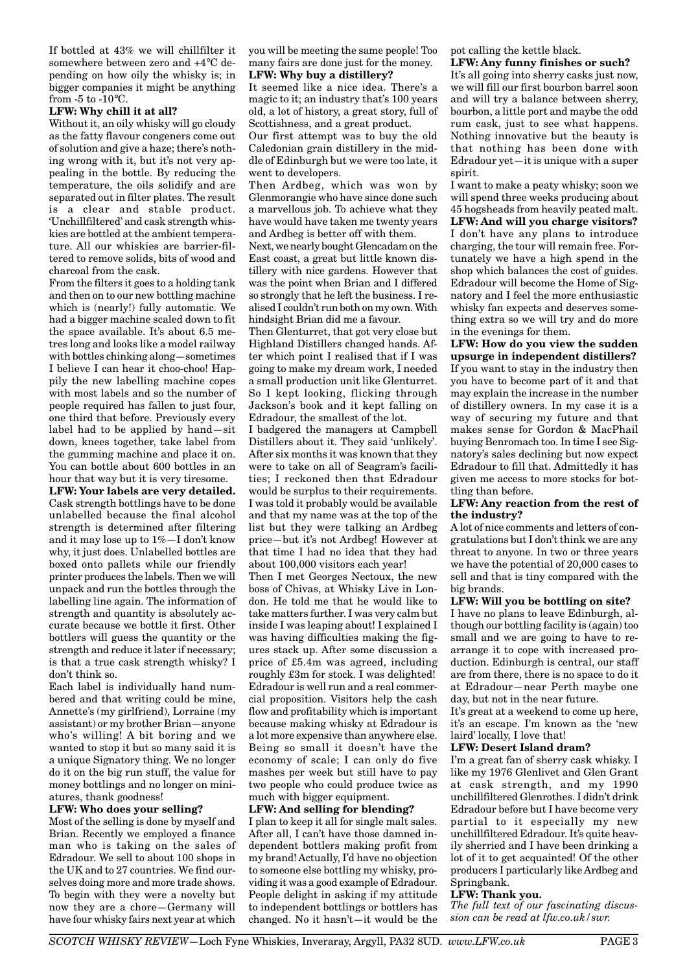If bottled at 43% we will chillfilter it somewhere between zero and +4°C depending on how oily the whisky is; in bigger companies it might be anything from  $-5$  to  $-10^{\circ}$ C.

#### **LFW: Why chill it at all?**

Without it, an oily whisky will go cloudy as the fatty flavour congeners come out of solution and give a haze; there's nothing wrong with it, but it's not very appealing in the bottle. By reducing the temperature, the oils solidify and are separated out in filter plates. The result is a clear and stable product. 'Unchillfiltered' and cask strength whiskies are bottled at the ambient temperature. All our whiskies are barrier-filtered to remove solids, bits of wood and charcoal from the cask.

From the filters it goes to a holding tank and then on to our new bottling machine which is (nearly!) fully automatic. We had a bigger machine scaled down to fit the space available. It's about 6.5 metres long and looks like a model railway with bottles chinking along—sometimes I believe I can hear it choo-choo! Happily the new labelling machine copes with most labels and so the number of people required has fallen to just four, one third that before. Previously every label had to be applied by hand—sit down, knees together, take label from the gumming machine and place it on. You can bottle about 600 bottles in an hour that way but it is very tiresome.

**LFW: Your labels are very detailed.** Cask strength bottlings have to be done unlabelled because the final alcohol strength is determined after filtering and it may lose up to 1%—I don't know why, it just does. Unlabelled bottles are boxed onto pallets while our friendly printer produces the labels. Then we will unpack and run the bottles through the labelling line again. The information of strength and quantity is absolutely accurate because we bottle it first. Other bottlers will guess the quantity or the strength and reduce it later if necessary; is that a true cask strength whisky? I don't think so.

Each label is individually hand numbered and that writing could be mine, Annette's (my girlfriend), Lorraine (my assistant) or my brother Brian—anyone who's willing! A bit boring and we wanted to stop it but so many said it is a unique Signatory thing. We no longer do it on the big run stuff, the value for money bottlings and no longer on miniatures, thank goodness!

#### **LFW: Who does your selling?**

Most of the selling is done by myself and Brian. Recently we employed a finance man who is taking on the sales of Edradour. We sell to about 100 shops in the UK and to 27 countries. We find ourselves doing more and more trade shows. To begin with they were a novelty but now they are a chore—Germany will have four whisky fairs next year at which

you will be meeting the same people! Too many fairs are done just for the money. **LFW: Why buy a distillery?**

It seemed like a nice idea. There's a magic to it; an industry that's 100 years old, a lot of history, a great story, full of Scottishness, and a great product.

Our first attempt was to buy the old Caledonian grain distillery in the middle of Edinburgh but we were too late, it went to developers.

Then Ardbeg, which was won by Glenmorangie who have since done such a marvellous job. To achieve what they have would have taken me twenty years and Ardbeg is better off with them.

Next, we nearly bought Glencadam on the East coast, a great but little known distillery with nice gardens. However that was the point when Brian and I differed so strongly that he left the business. I realised I couldn't run both on my own. With hindsight Brian did me a favour.

Then Glenturret, that got very close but Highland Distillers changed hands. After which point I realised that if I was going to make my dream work, I needed a small production unit like Glenturret. So I kept looking, flicking through Jackson's book and it kept falling on Edradour, the smallest of the lot.

I badgered the managers at Campbell Distillers about it. They said 'unlikely'. After six months it was known that they were to take on all of Seagram's facilities; I reckoned then that Edradour would be surplus to their requirements. I was told it probably would be available and that my name was at the top of the list but they were talking an Ardbeg price—but it's not Ardbeg! However at that time I had no idea that they had about 100,000 visitors each year!

Then I met Georges Nectoux, the new boss of Chivas, at Whisky Live in London. He told me that he would like to take matters further. I was very calm but inside I was leaping about! I explained I was having difficulties making the figures stack up. After some discussion a price of £5.4m was agreed, including roughly £3m for stock. I was delighted! Edradour is well run and a real commercial proposition. Visitors help the cash flow and profitability which is important because making whisky at Edradour is a lot more expensive than anywhere else. Being so small it doesn't have the economy of scale; I can only do five mashes per week but still have to pay two people who could produce twice as much with bigger equipment.

#### **LFW: And selling for blending?**

I plan to keep it all for single malt sales. After all, I can't have those damned independent bottlers making profit from my brand! Actually, I'd have no objection to someone else bottling my whisky, providing it was a good example of Edradour. People delight in asking if my attitude to independent bottlings or bottlers has changed. No it hasn't—it would be the

pot calling the kettle black.

#### **LFW: Any funny finishes or such?**

It's all going into sherry casks just now, we will fill our first bourbon barrel soon and will try a balance between sherry, bourbon, a little port and maybe the odd rum cask, just to see what happens. Nothing innovative but the beauty is that nothing has been done with Edradour yet—it is unique with a super spirit.

I want to make a peaty whisky; soon we will spend three weeks producing about 45 hogsheads from heavily peated malt. **LFW: And will you charge visitors?** I don't have any plans to introduce charging, the tour will remain free. Fortunately we have a high spend in the shop which balances the cost of guides. Edradour will become the Home of Signatory and I feel the more enthusiastic whisky fan expects and deserves something extra so we will try and do more in the evenings for them.

**LFW: How do you view the sudden upsurge in independent distillers?** If you want to stay in the industry then you have to become part of it and that may explain the increase in the number of distillery owners. In my case it is a way of securing my future and that makes sense for Gordon & MacPhail buying Benromach too. In time I see Signatory's sales declining but now expect Edradour to fill that. Admittedly it has given me access to more stocks for bottling than before.

#### **LFW: Any reaction from the rest of the industry?**

A lot of nice comments and letters of congratulations but I don't think we are any threat to anyone. In two or three years we have the potential of 20,000 cases to sell and that is tiny compared with the big brands.

#### **LFW: Will you be bottling on site?**

I have no plans to leave Edinburgh, although our bottling facility is (again) too small and we are going to have to rearrange it to cope with increased production. Edinburgh is central, our staff are from there, there is no space to do it at Edradour—near Perth maybe one day, but not in the near future.

It's great at a weekend to come up here, it's an escape. I'm known as the 'new laird' locally, I love that!

#### **LFW: Desert Island dram?**

I'm a great fan of sherry cask whisky. I like my 1976 Glenlivet and Glen Grant at cask strength, and my 1990 unchillfiltered Glenrothes. I didn't drink Edradour before but I have become very partial to it especially my new unchillfiltered Edradour. It's quite heavily sherried and I have been drinking a lot of it to get acquainted! Of the other producers I particularly like Ardbeg and Springbank.

#### **LFW: Thank you.**

*The full text of our fascinating discussion can be read at lfw.co.uk/swr.*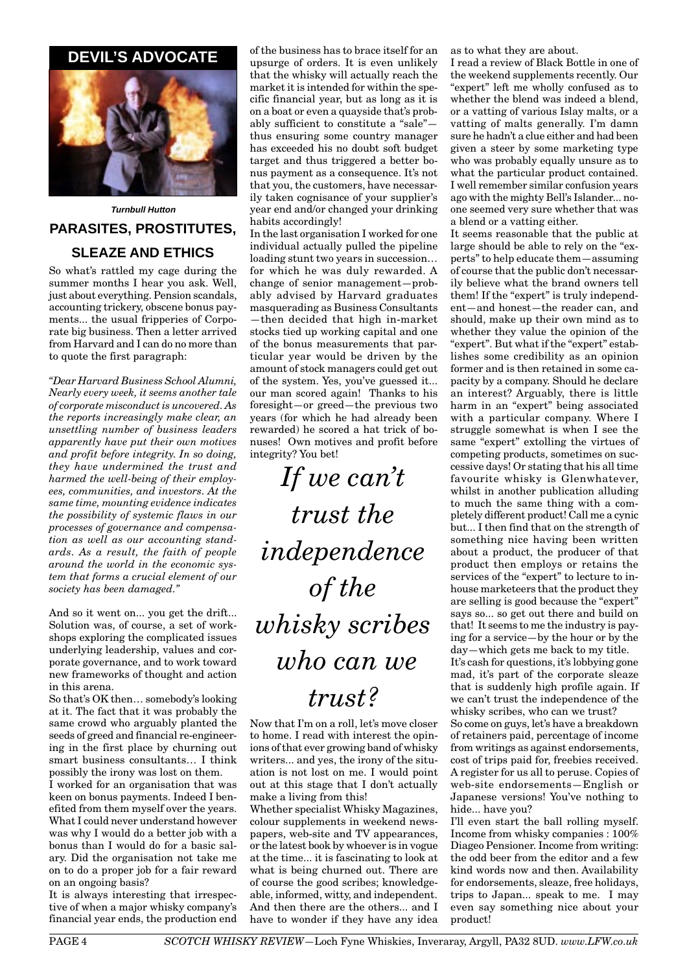# **DEVIL'S ADVOCATE**



**Turnbull Hutton PARASITES, PROSTITUTES, SLEAZE AND ETHICS**

So what's rattled my cage during the summer months I hear you ask. Well, just about everything. Pension scandals, accounting trickery, obscene bonus payments... the usual fripperies of Corporate big business. Then a letter arrived from Harvard and I can do no more than to quote the first paragraph:

*"Dear Harvard Business School Alumni, Nearly every week, it seems another tale of corporate misconduct is uncovered. As the reports increasingly make clear, an unsettling number of business leaders apparently have put their own motives and profit before integrity. In so doing, they have undermined the trust and harmed the well-being of their employees, communities, and investors. At the same time, mounting evidence indicates the possibility of systemic flaws in our processes of governance and compensation as well as our accounting standards. As a result, the faith of people around the world in the economic system that forms a crucial element of our society has been damaged."*

And so it went on... you get the drift... Solution was, of course, a set of workshops exploring the complicated issues underlying leadership, values and corporate governance, and to work toward new frameworks of thought and action in this arena.

So that's OK then… somebody's looking at it. The fact that it was probably the same crowd who arguably planted the seeds of greed and financial re-engineering in the first place by churning out smart business consultants… I think possibly the irony was lost on them.

I worked for an organisation that was keen on bonus payments. Indeed I benefited from them myself over the years. What I could never understand however was why I would do a better job with a bonus than I would do for a basic salary. Did the organisation not take me on to do a proper job for a fair reward on an ongoing basis?

It is always interesting that irrespective of when a major whisky company's financial year ends, the production end of the business has to brace itself for an upsurge of orders. It is even unlikely that the whisky will actually reach the market it is intended for within the specific financial year, but as long as it is on a boat or even a quayside that's probably sufficient to constitute a "sale" thus ensuring some country manager has exceeded his no doubt soft budget target and thus triggered a better bonus payment as a consequence. It's not that you, the customers, have necessarily taken cognisance of your supplier's year end and/or changed your drinking habits accordingly!

In the last organisation I worked for one individual actually pulled the pipeline loading stunt two years in succession… for which he was duly rewarded. A change of senior management—probably advised by Harvard graduates masquerading as Business Consultants —then decided that high in-market stocks tied up working capital and one of the bonus measurements that particular year would be driven by the amount of stock managers could get out of the system. Yes, you've guessed it... our man scored again! Thanks to his foresight—or greed—the previous two years (for which he had already been rewarded) he scored a hat trick of bonuses! Own motives and profit before integrity? You bet!

*If we can't trust the independence of the whisky scribes who can we trust?*

Now that I'm on a roll, let's move closer to home. I read with interest the opinions of that ever growing band of whisky writers... and yes, the irony of the situation is not lost on me. I would point out at this stage that I don't actually make a living from this!

Whether specialist Whisky Magazines, colour supplements in weekend newspapers, web-site and TV appearances, or the latest book by whoever is in vogue at the time... it is fascinating to look at what is being churned out. There are of course the good scribes; knowledgeable, informed, witty, and independent. And then there are the others... and I have to wonder if they have any idea as to what they are about.

I read a review of Black Bottle in one of the weekend supplements recently. Our "expert" left me wholly confused as to whether the blend was indeed a blend, or a vatting of various Islay malts, or a vatting of malts generally. I'm damn sure he hadn't a clue either and had been given a steer by some marketing type who was probably equally unsure as to what the particular product contained. I well remember similar confusion years ago with the mighty Bell's Islander... noone seemed very sure whether that was a blend or a vatting either.

It seems reasonable that the public at large should be able to rely on the "experts" to help educate them—assuming of course that the public don't necessarily believe what the brand owners tell them! If the "expert" is truly independent—and honest—the reader can, and should, make up their own mind as to whether they value the opinion of the "expert". But what if the "expert" establishes some credibility as an opinion former and is then retained in some capacity by a company. Should he declare an interest? Arguably, there is little harm in an "expert" being associated with a particular company. Where I struggle somewhat is when I see the same "expert" extolling the virtues of competing products, sometimes on successive days! Or stating that his all time favourite whisky is Glenwhatever, whilst in another publication alluding to much the same thing with a completely different product! Call me a cynic but... I then find that on the strength of something nice having been written about a product, the producer of that product then employs or retains the services of the "expert" to lecture to inhouse marketeers that the product they are selling is good because the "expert" says so... so get out there and build on that! It seems to me the industry is paying for a service—by the hour or by the day—which gets me back to my title.

It's cash for questions, it's lobbying gone mad, it's part of the corporate sleaze that is suddenly high profile again. If we can't trust the independence of the whisky scribes, who can we trust?

So come on guys, let's have a breakdown of retainers paid, percentage of income from writings as against endorsements, cost of trips paid for, freebies received. A register for us all to peruse. Copies of web-site endorsements—English or Japanese versions! You've nothing to hide... have you?

I'll even start the ball rolling myself. Income from whisky companies : 100% Diageo Pensioner. Income from writing: the odd beer from the editor and a few kind words now and then. Availability for endorsements, sleaze, free holidays, trips to Japan... speak to me. I may even say something nice about your product!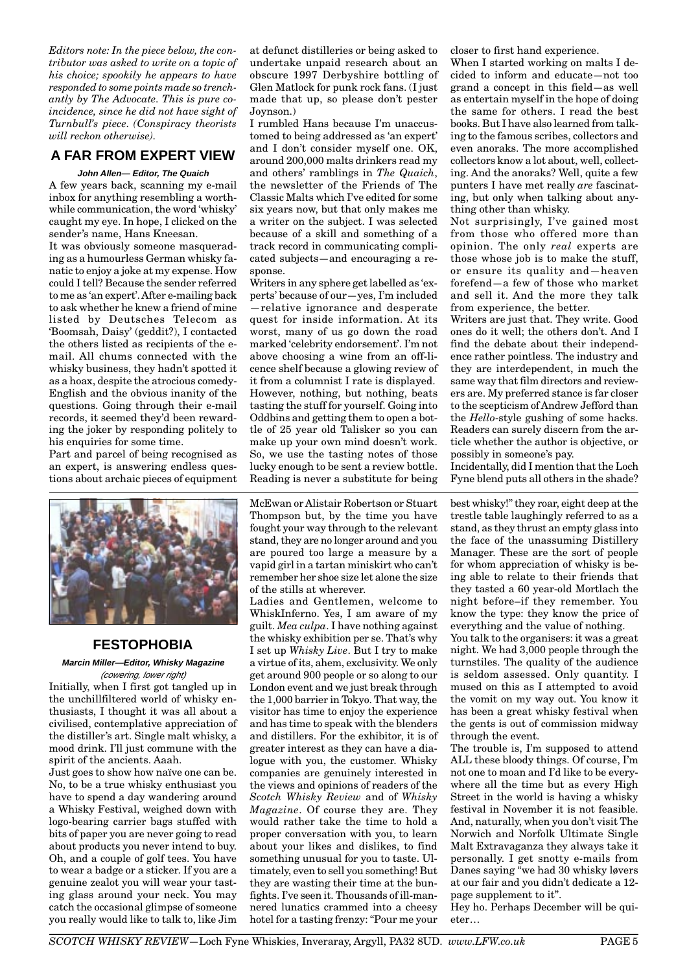*Editors note: In the piece below, the contributor was asked to write on a topic of his choice; spookily he appears to have responded to some points made so trenchantly by The Advocate. This is pure coincidence, since he did not have sight of Turnbull's piece. (Conspiracy theorists will reckon otherwise).*

## **A FAR FROM EXPERT VIEW**

#### **John Allen— Editor, The Quaich**

A few years back, scanning my e-mail inbox for anything resembling a worthwhile communication, the word 'whisky' caught my eye. In hope, I clicked on the sender's name, Hans Kneesan.

It was obviously someone masquerading as a humourless German whisky fanatic to enjoy a joke at my expense. How could I tell? Because the sender referred to me as 'an expert'. After e-mailing back to ask whether he knew a friend of mine listed by Deutsches Telecom as 'Boomsah, Daisy' (geddit?), I contacted the others listed as recipients of the email. All chums connected with the whisky business, they hadn't spotted it as a hoax, despite the atrocious comedy-English and the obvious inanity of the questions. Going through their e-mail records, it seemed they'd been rewarding the joker by responding politely to his enquiries for some time.

Part and parcel of being recognised as an expert, is answering endless questions about archaic pieces of equipment



## **FESTOPHOBIA**

**Marcin Miller—Editor, Whisky Magazine** (cowering, lower right)

Initially, when I first got tangled up in the unchillfiltered world of whisky enthusiasts, I thought it was all about a civilised, contemplative appreciation of the distiller's art. Single malt whisky, a mood drink. I'll just commune with the spirit of the ancients. Aaah.

Just goes to show how naïve one can be. No, to be a true whisky enthusiast you have to spend a day wandering around a Whisky Festival, weighed down with logo-bearing carrier bags stuffed with bits of paper you are never going to read about products you never intend to buy. Oh, and a couple of golf tees. You have to wear a badge or a sticker. If you are a genuine zealot you will wear your tasting glass around your neck. You may catch the occasional glimpse of someone you really would like to talk to, like Jim at defunct distilleries or being asked to undertake unpaid research about an obscure 1997 Derbyshire bottling of Glen Matlock for punk rock fans. (I just made that up, so please don't pester Joynson.)

I rumbled Hans because I'm unaccustomed to being addressed as 'an expert' and I don't consider myself one. OK, around 200,000 malts drinkers read my and others' ramblings in *The Quaich*, the newsletter of the Friends of The Classic Malts which I've edited for some six years now, but that only makes me a writer on the subject. I was selected because of a skill and something of a track record in communicating complicated subjects—and encouraging a response.

Writers in any sphere get labelled as 'experts' because of our—yes, I'm included —relative ignorance and desperate quest for inside information. At its worst, many of us go down the road marked 'celebrity endorsement'. I'm not above choosing a wine from an off-licence shelf because a glowing review of it from a columnist I rate is displayed. However, nothing, but nothing, beats tasting the stuff for yourself. Going into Oddbins and getting them to open a bottle of 25 year old Talisker so you can make up your own mind doesn't work. So, we use the tasting notes of those lucky enough to be sent a review bottle. Reading is never a substitute for being

McEwan or Alistair Robertson or Stuart Thompson but, by the time you have fought your way through to the relevant stand, they are no longer around and you are poured too large a measure by a vapid girl in a tartan miniskirt who can't remember her shoe size let alone the size of the stills at wherever.

Ladies and Gentlemen, welcome to WhiskInferno. Yes, I am aware of my guilt. *Mea culpa*. I have nothing against the whisky exhibition per se. That's why I set up *Whisky Live*. But I try to make a virtue of its, ahem, exclusivity. We only get around 900 people or so along to our London event and we just break through the 1,000 barrier in Tokyo. That way, the visitor has time to enjoy the experience and has time to speak with the blenders and distillers. For the exhibitor, it is of greater interest as they can have a dialogue with you, the customer. Whisky companies are genuinely interested in the views and opinions of readers of the *Scotch Whisky Review* and of *Whisky Magazine*. Of course they are. They would rather take the time to hold a proper conversation with you, to learn about your likes and dislikes, to find something unusual for you to taste. Ultimately, even to sell you something! But they are wasting their time at the bunfights. I've seen it. Thousands of ill-mannered lunatics crammed into a cheesy hotel for a tasting frenzy: "Pour me your

closer to first hand experience.

When I started working on malts I decided to inform and educate—not too grand a concept in this field—as well as entertain myself in the hope of doing the same for others. I read the best books. But I have also learned from talking to the famous scribes, collectors and even anoraks. The more accomplished collectors know a lot about, well, collecting. And the anoraks? Well, quite a few punters I have met really *are* fascinating, but only when talking about anything other than whisky.

Not surprisingly, I've gained most from those who offered more than opinion. The only *real* experts are those whose job is to make the stuff, or ensure its quality and—heaven forefend—a few of those who market and sell it. And the more they talk from experience, the better.

Writers are just that. They write. Good ones do it well; the others don't. And I find the debate about their independence rather pointless. The industry and they are interdependent, in much the same way that film directors and reviewers are. My preferred stance is far closer to the scepticism of Andrew Jefford than the *Hello*-style gushing of some hacks. Readers can surely discern from the article whether the author is objective, or possibly in someone's pay.

Incidentally, did I mention that the Loch Fyne blend puts all others in the shade?

best whisky!" they roar, eight deep at the trestle table laughingly referred to as a stand, as they thrust an empty glass into the face of the unassuming Distillery Manager. These are the sort of people for whom appreciation of whisky is being able to relate to their friends that they tasted a 60 year-old Mortlach the night before–if they remember. You know the type: they know the price of everything and the value of nothing.

You talk to the organisers: it was a great night. We had 3,000 people through the turnstiles. The quality of the audience is seldom assessed. Only quantity. I mused on this as I attempted to avoid the vomit on my way out. You know it has been a great whisky festival when the gents is out of commission midway through the event.

The trouble is, I'm supposed to attend ALL these bloody things. Of course, I'm not one to moan and I'd like to be everywhere all the time but as every High Street in the world is having a whisky festival in November it is not feasible. And, naturally, when you don't visit The Norwich and Norfolk Ultimate Single Malt Extravaganza they always take it personally. I get snotty e-mails from Danes saying "we had 30 whisky løvers at our fair and you didn't dedicate a 12 page supplement to it".

Hey ho. Perhaps December will be quieter…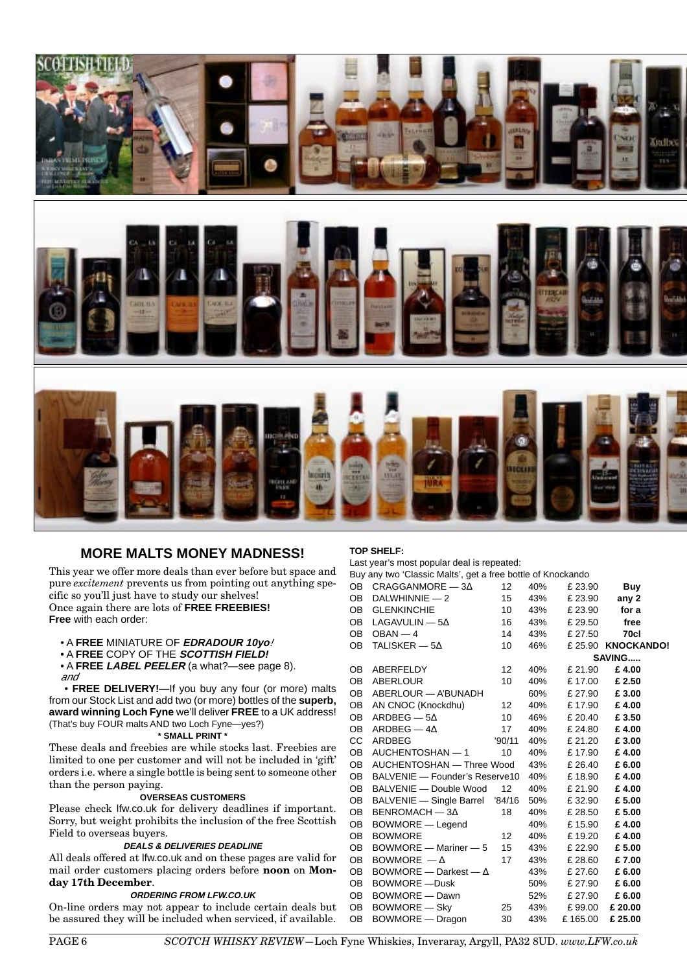

## **MORE MALTS MONEY MADNESS!**

This year we offer more deals than ever before but space and pure *excitement* prevents us from pointing out anything specific so you'll just have to study our shelves! Once again there are lots of **FREE FREEBIES!**

**Free** with each order:

- A **FREE** MINIATURE OF **EDRADOUR 10yo**!
- A **FREE** COPY OF THE **SCOTTISH FIELD!**
- A **FREE LABEL PEELER** (a what?—see page 8). and

 • **FREE DELIVERY!—**If you buy any four (or more) malts from our Stock List and add two (or more) bottles of the **superb, award winning Loch Fyne** we'll deliver **FREE** to a UK address! (That's buy FOUR malts AND two Loch Fyne—yes?)

#### **\* SMALL PRINT \***

These deals and freebies are while stocks last. Freebies are limited to one per customer and will not be included in 'gift' orders i.e. where a single bottle is being sent to someone other than the person paying.

#### **OVERSEAS CUSTOMERS**

Please check lfw.co.uk for delivery deadlines if important. Sorry, but weight prohibits the inclusion of the free Scottish Field to overseas buyers.

#### **DEALS & DELIVERIES DEADLINE**

All deals offered at lfw.co.uk and on these pages are valid for mail order customers placing orders before **noon** on **Monday 17th December**.

#### **ORDERING FROM LFW.CO.UK**

On-line orders may not appear to include certain deals but be assured they will be included when serviced, if available.

#### **TOP SHELF:**

Last year's most popular deal is repeated:

| Buy any two 'Classic Malts', get a free bottle of Knockando |  |     |                |  |
|-------------------------------------------------------------|--|-----|----------------|--|
| OR CRAGGANMORF — 34                                         |  | 40% | <b>F 23 QN</b> |  |

| OB  | $CRAGGANMORE - 3\Delta$         | 12 <sup>°</sup> | 40%         | £ 23.90           | <b>Buy</b>        |  |
|-----|---------------------------------|-----------------|-------------|-------------------|-------------------|--|
| OB  | DALWHINNIE — 2                  | 15              |             | 43% £ 23.90 any 2 |                   |  |
| OB  | <b>GLENKINCHIE</b>              | 10              | 43%         |                   | £ 23.90 for a     |  |
| OB  | LAGAVULIN — 5 $\Delta$          | 16              | 43%         | £ 29.50           | free              |  |
| OB  | $OBAN - 4$                      | 14              |             | 43% £ 27.50       | 70cl              |  |
| OB  | TALISKER — $5\Delta$            | 10              | 46%         |                   | £25.90 KNOCKANDO! |  |
|     |                                 |                 |             |                   | SAVING            |  |
| OB. | ABERFELDY                       | 12              | 40%         | £ 21.90           | £4.00             |  |
| OB  | ABERLOUR                        | 10 <sup>°</sup> |             | 40% £17.00        | £ 2.50            |  |
| OB  | ABERLOUR — A'BUNADH             |                 | 60%         | £ 27.90           | £ 3.00            |  |
| OB  | AN CNOC (Knockdhu)              | 12              |             | 40% £17.90        | £4.00             |  |
| OB  | $ARDBEG - 5\Delta$              | 10              |             | 46% £ 20.40       | £3.50             |  |
| OB  | ARDBEG — 4 $\Delta$             | 17              |             | 40% £ 24.80       | £4.00             |  |
| CC. | '90/11<br>ARDBEG                |                 |             | 40% £ 21.20       | £3.00             |  |
| OB. | AUCHENTOSHAN — 1                | 10              |             | 40% £17.90        | £4.00             |  |
| OB  | AUCHENTOSHAN — Three Wood       |                 | 43% £ 26.40 | £6.00             |                   |  |
| OB  | BALVENIE - Founder's Reserve10  |                 | 40%         | £ 18.90           | £4.00             |  |
| OB  | BALVENIE — Double Wood 12       |                 |             | 40% £21.90        | £4.00             |  |
| OB  | BALVENIE - Single Barrel '84/16 |                 |             | 50% £32.90        | £ 5.00            |  |
| OB. | $BENROMACH - 3\Delta$           | 18              | 40%         | £ 28.50           | £5.00             |  |
| OB  | BOWMORE - Legend                |                 |             | 40% £15.90        | £4.00             |  |
| OB  | <b>BOWMORE</b>                  | 12              | 40%         | £ 19.20           | £4.00             |  |
| OB  | BOWMORE - Mariner - 5           | 15              | 43%         | £ 22.90           | £5.00             |  |
| OB  | BOWMORE $-\Delta$               | 17              | 43%         | £ 28.60           | £7.00             |  |
| OB  | BOWMORE — Darkest — $\Delta$    |                 |             | 43% £ 27.60       | £ 6.00            |  |
| OB  | BOWMORE - Dusk                  |                 |             | 50% £ 27.90       | £6.00             |  |
| OB  | BOWMORE - Dawn                  |                 |             | 52% £ 27.90       | £6.00             |  |
| OB  | BOWMORE - Sky 25                |                 |             | 43% £99.00 £20.00 |                   |  |
| OB  | BOWMORE — Dragon                | 30              | 43%         | £165.00           | £ 25.00           |  |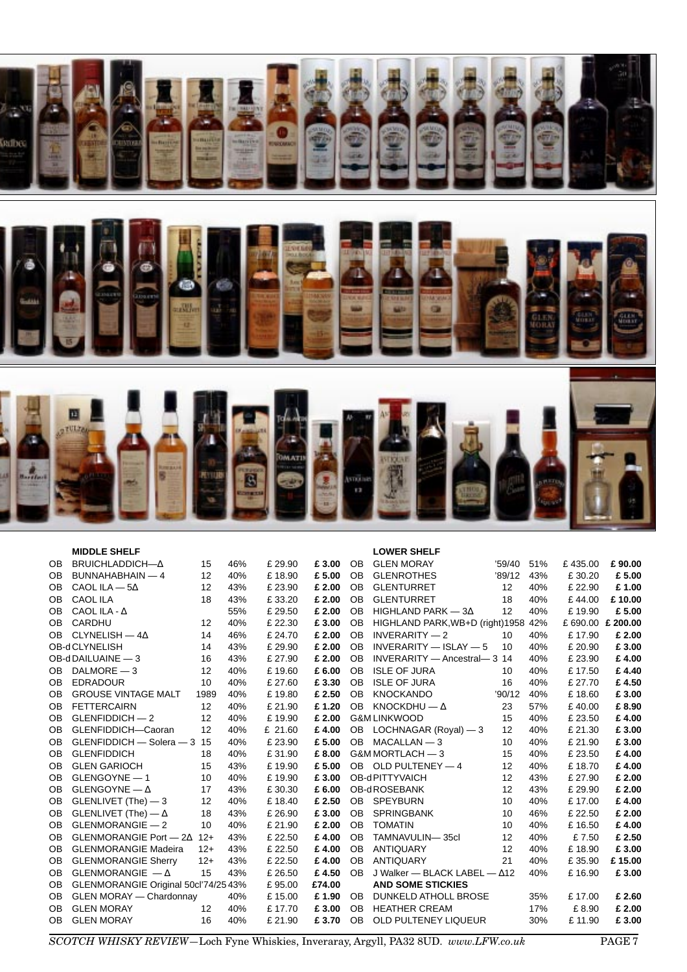

|           | <b>MIDDLE SHELF</b>                  |       |     |         |        |                | <b>LOWER SHELF</b>                  |        |     |                 |        |
|-----------|--------------------------------------|-------|-----|---------|--------|----------------|-------------------------------------|--------|-----|-----------------|--------|
| <b>OB</b> | BRUICHLADDICH-A                      | 15    | 46% | £ 29.90 | £3.00  | <b>OB</b>      | <b>GLEN MORAY</b>                   | '59/40 | 51% | £435.00         | £90.00 |
| 0B        | BUNNAHABHAIN - 4                     | 12    | 40% | £18.90  | £5.00  | <b>OB</b>      | <b>GLENROTHES</b>                   | '89/12 | 43% | £30.20          | £5.00  |
| <b>OB</b> | CAOL ILA $-5\Delta$                  | 12    | 43% | £ 23.90 | £ 2.00 | <b>OB</b>      | <b>GLENTURRET</b>                   | 12     | 40% | £22.90          | £1.00  |
| <b>OB</b> | <b>CAOL ILA</b>                      | 18    | 43% | £33.20  | £ 2.00 | <b>OB</b>      | <b>GLENTURRET</b>                   | 18     | 40% | £44.00          | £10.00 |
| <b>OB</b> | CAOL ILA - $\Lambda$                 |       | 55% | £ 29.50 | £ 2.00 | <b>OB</b>      | HIGHLAND PARK $-3\Delta$            | 12     | 40% | £19.90          | £5.00  |
| <b>OB</b> | CARDHU                               | 12    | 40% | £ 22.30 | £3.00  | <b>OB</b>      | HIGHLAND PARK, WB+D (right) 1958    |        | 42% | £690.00 £200.00 |        |
| <b>OB</b> | CLYNELISH $-4\Delta$                 | 14    | 46% | £ 24.70 | £ 2.00 | <b>OB</b>      | $INVERARITY - 2$                    | 10     | 40% | £17.90          | £ 2.00 |
|           | OB-dCLYNELISH                        | 14    | 43% | £29.90  | £ 2.00 | <b>OB</b>      | $INVERARITY - ISLAY - 5$            | 10     | 40% | £ 20.90         | £3.00  |
|           | OB-dDAILUAINE - 3                    | 16    | 43% | £ 27.90 | £ 2.00 | <b>OB</b>      | INVERARITY - Ancestral - 3 14       |        | 40% | £23.90          | £4.00  |
| <b>OB</b> | $DALMORE - 3$                        | 12    | 40% | £19.60  | £6.00  | <b>OB</b>      | <b>ISLE OF JURA</b>                 | 10     | 40% | £17.50          | £4.40  |
| <b>OB</b> | <b>EDRADOUR</b>                      | 10    | 40% | £ 27.60 | £3.30  | <b>OB</b>      | <b>ISLE OF JURA</b>                 | 16     | 40% | £ 27.70         | £4.50  |
| <b>OB</b> | <b>GROUSE VINTAGE MALT</b>           | 1989  | 40% | £19.80  | £ 2.50 | <b>OB</b>      | <b>KNOCKANDO</b>                    | '90/12 | 40% | £18.60          | £3.00  |
| <b>OB</b> | <b>FETTERCAIRN</b>                   | 12    | 40% | £ 21.90 | £1.20  | <b>OB</b>      | KNOCKDHU $-\Delta$                  | 23     | 57% | £40.00          | £8.90  |
| <b>OB</b> | $GLENFIDDICH - 2$                    | 12    | 40% | £19.90  | £ 2.00 |                | <b>G&amp;M LINKWOOD</b>             | 15     | 40% | £23.50          | £4.00  |
| <b>OB</b> | GLENFIDDICH-Caoran                   | 12    | 40% | £ 21.60 | £4.00  | OB.            | LOCHNAGAR (Royal) - 3               | 12     | 40% | £ 21.30         | £3.00  |
| <b>OB</b> | GLENFIDDICH - Solera - 3             | 15    | 40% | £ 23.90 | £5.00  | <b>OB</b>      | $MACALLAN - 3$                      | 10     | 40% | £ 21.90         | £3.00  |
| <b>OB</b> | <b>GLENFIDDICH</b>                   | 18    | 40% | £31.90  | £8.00  |                | G&M MORTLACH - 3                    | 15     | 40% | £23.50          | £4.00  |
| <b>OB</b> | <b>GLEN GARIOCH</b>                  | 15    | 43% | £19.90  | £5.00  | OB.            | OLD PULTENEY - 4                    | 12     | 40% | £18.70          | £4.00  |
| <b>OB</b> | GLENGOYNE - 1                        | 10    | 40% | £19.90  | £3.00  |                | OB-dPITTYVAICH                      | 12     | 43% | £ 27.90         | £ 2.00 |
| <b>OB</b> | GLENGOYNE $-\Delta$                  | 17    | 43% | £30.30  | £6.00  |                | OB-dROSEBANK                        | 12     | 43% | £29.90          | £ 2.00 |
| <b>OB</b> | GLENLIVET (The) - 3                  | 12    | 40% | £18.40  | £ 2.50 | <b>OB</b>      | <b>SPEYBURN</b>                     | 10     | 40% | £17.00          | £4.00  |
| <b>OB</b> | GLENLIVET (The) $-\Delta$            | 18    | 43% | £ 26.90 | £3.00  | <b>OB</b>      | <b>SPRINGBANK</b>                   | 10     | 46% | £ 22.50         | £ 2.00 |
| <b>OB</b> | GLENMORANGIE - 2                     | 10    | 40% | £ 21.90 | £ 2.00 | <b>OB</b>      | <b>TOMATIN</b>                      | 10     | 40% | £16.50          | £4.00  |
| <b>OB</b> | GLENMORANGIE Port $-2\Delta$         | $12+$ | 43% | £ 22.50 | £4.00  | <b>OB</b>      | TAMNAVULIN-35cl                     | 12     | 40% | £7.50           | £ 2.50 |
| <b>OB</b> | <b>GLENMORANGIE Madeira</b>          | $12+$ | 43% | £22.50  | £4.00  | <b>OB</b>      | <b>ANTIQUARY</b>                    | 12     | 40% | £18.90          | £3.00  |
| OB        | <b>GLENMORANGIE Sherry</b>           | $12+$ | 43% | £ 22.50 | £4.00  | <b>OB</b>      | <b>ANTIQUARY</b>                    | 21     | 40% | £35.90          | £15.00 |
| <b>OB</b> | GLENMORANGIE $-\Delta$               | 15    | 43% | £ 26.50 | £4.50  | O <sub>B</sub> | J Walker - BLACK LABEL $ \Delta$ 12 |        | 40% | £16.90          | £3.00  |
| <b>OB</b> | GLENMORANGIE Original 50cl'74/25 43% |       |     | £95.00  | £74.00 |                | <b>AND SOME STICKIES</b>            |        |     |                 |        |
| <b>OB</b> | <b>GLEN MORAY - Chardonnay</b>       |       | 40% | £15.00  | £1.90  | <b>OB</b>      | <b>DUNKELD ATHOLL BROSE</b>         |        | 35% | £17.00          | £ 2.60 |
| <b>OB</b> | <b>GLEN MORAY</b>                    | 12    | 40% | £17.70  | £3.00  | <b>OB</b>      | <b>HEATHER CREAM</b>                |        | 17% | £8.90           | £ 2.00 |
| <b>OB</b> | <b>GLEN MORAY</b>                    | 16    | 40% | £ 21.90 | £3.70  | <b>OB</b>      | <b>OLD PULTENEY LIQUEUR</b>         |        | 30% | £11.90          | £3.00  |

*SCOTCH WHISKY REVIEW*—Loch Fyne Whiskies, Inveraray, Argyll, PA32 8UD. *www.LFW.co.uk* PAGE 7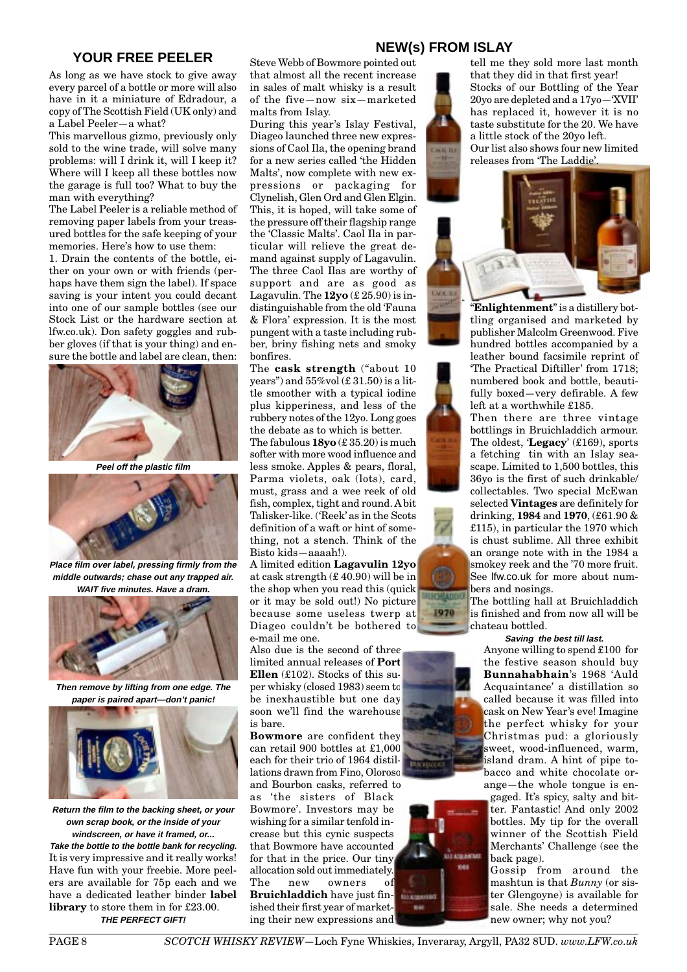# **NEW(s) FROM ISLAY YOUR FREE PEELER**

As long as we have stock to give away every parcel of a bottle or more will also have in it a miniature of Edradour, a copy of The Scottish Field (UK only) and a Label Peeler—a what?

This marvellous gizmo, previously only sold to the wine trade, will solve many problems: will I drink it, will I keep it? Where will I keep all these bottles now the garage is full too? What to buy the man with everything?

The Label Peeler is a reliable method of removing paper labels from your treasured bottles for the safe keeping of your memories. Here's how to use them:

1. Drain the contents of the bottle, either on your own or with friends (perhaps have them sign the label). If space saving is your intent you could decant into one of our sample bottles (see our Stock List or the hardware section at lfw.co.uk). Don safety goggles and rubber gloves (if that is your thing) and ensure the bottle and label are clean, then:



**Peel off the plastic film**



**Place film over label, pressing firmly from the middle outwards; chase out any trapped air. WAIT five minutes. Have a dram.**



**Then remove by lifting from one edge. The paper is paired apart—don't panic!**



**Return the film to the backing sheet, or your own scrap book, or the inside of your windscreen, or have it framed, or... Take the bottle to the bottle bank for recycling.** It is very impressive and it really works! Have fun with your freebie. More peelers are available for 75p each and we have a dedicated leather binder **label library** to store them in for £23.00. **THE PERFECT GIFT!**

Steve Webb of Bowmore pointed out that almost all the recent increase in sales of malt whisky is a result of the five—now six—marketed malts from Islay.

During this year's Islay Festival, Diageo launched three new expressions of Caol Ila, the opening brand for a new series called 'the Hidden Malts', now complete with new expressions or packaging for Clynelish, Glen Ord and Glen Elgin. This, it is hoped, will take some of the pressure off their flagship range the 'Classic Malts'. Caol Ila in particular will relieve the great demand against supply of Lagavulin. The three Caol Ilas are worthy of support and are as good as Lagavulin. The **12yo** (£ 25.90) is indistinguishable from the old 'Fauna & Flora' expression. It is the most pungent with a taste including rubber, briny fishing nets and smoky bonfires.

The **cask strength** ("about 10 years") and  $55\%$ vol $(\text{\textsterling} 31.50)$  is a little smoother with a typical iodine plus kipperiness, and less of the rubbery notes of the 12yo. Long goes the debate as to which is better. The fabulous **18yo** (£ 35.20) is much softer with more wood influence and less smoke. Apples & pears, floral, Parma violets, oak (lots), card, must, grass and a wee reek of old fish, complex, tight and round. A bit Talisker-like. ('Reek' as in the Scots definition of a waft or hint of something, not a stench. Think of the Bisto kids—aaaah!).

A limited edition **Lagavulin 12yo** at cask strength (£ 40.90) will be in the shop when you read this (quick or it may be sold out!) No picture because some useless twerp at Diageo couldn't be bothered to e-mail me one.

Also due is the second of three limited annual releases of **Port Ellen** (£102). Stocks of this super whisky (closed 1983) seem to be inexhaustible but one day soon we'll find the warehouse is bare.

**Bowmore** are confident they can retail 900 bottles at £1,000 each for their trio of 1964 distillations drawn from Fino, Oloroso and Bourbon casks, referred to as 'the sisters of Black Bowmore'. Investors may be wishing for a similar tenfold increase but this cynic suspects that Bowmore have accounted for that in the price. Our tiny allocation sold out immediately. The new owners of **Bruichladdich** have just finished their first year of marketing their new expressions and

tell me they sold more last month that they did in that first year! Stocks of our Bottling of the Year 20yo are depleted and a 17yo—'XVII' has replaced it, however it is no taste substitute for the 20. We have a little stock of the 20yo left. Our list also shows four new limited releases from 'The Laddie'.



"**Enlightenment**" is a distillery bottling organised and marketed by publisher Malcolm Greenwood. Five hundred bottles accompanied by a leather bound facsimile reprint of 'The Practical Diftiller' from 1718; numbered book and bottle, beautifully boxed—very defirable. A few left at a worthwhile £185.

Then there are three vintage bottlings in Bruichladdich armour. The oldest, '**Legacy**' (£169), sports a fetching tin with an Islay seascape. Limited to 1,500 bottles, this 36yo is the first of such drinkable/ collectables. Two special McEwan selected **Vintages** are definitely for drinking, **1984** and **1970**, (£61.90 & £115), in particular the 1970 which is chust sublime. All three exhibit an orange note with in the 1984 a smokey reek and the '70 more fruit. See lfw.co.uk for more about numbers and nosings.

The bottling hall at Bruichladdich is finished and from now all will be chateau bottled.

#### **Saving the best till last.**

Anyone willing to spend £100 for the festive season should buy **Bunnahabhain**'s 1968 'Auld Acquaintance' a distillation so called because it was filled into cask on New Year's eve! Imagine the perfect whisky for your Christmas pud: a gloriously sweet, wood-influenced, warm, island dram. A hint of pipe tobacco and white chocolate orange—the whole tongue is engaged. It's spicy, salty and bitter. Fantastic! And only 2002 bottles. My tip for the overall winner of the Scottish Field Merchants' Challenge (see the back page).

Gossip from around the mashtun is that *Bunny* (or sister Glengoyne) is available for sale. She needs a determined new owner; why not you?



**UICHEADO** 1970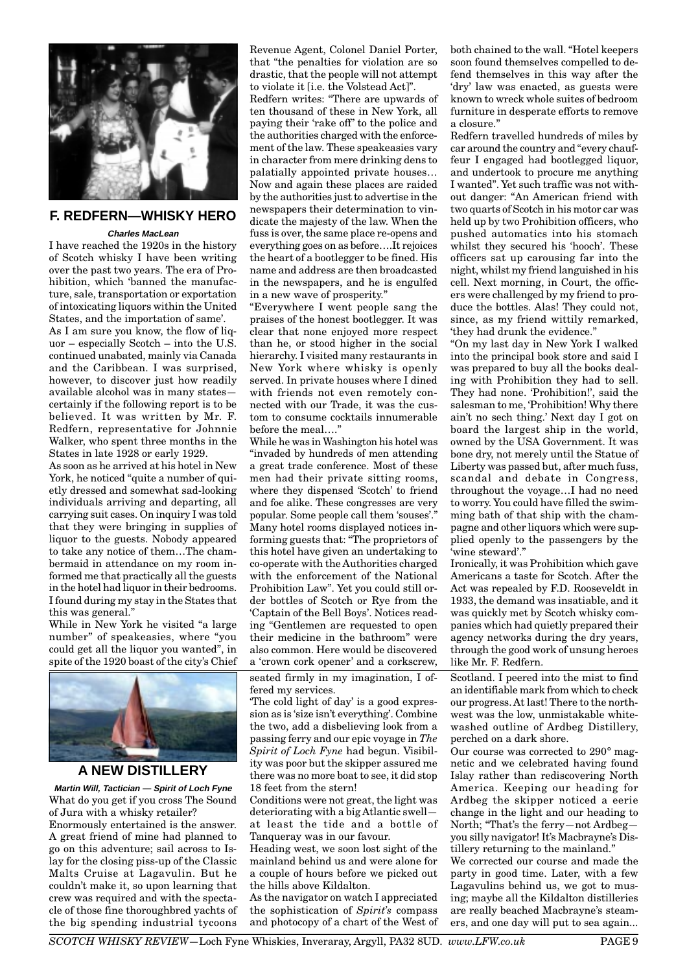

#### **F. REDFERN—WHISKY HERO**

#### **Charles MacLean**

I have reached the 1920s in the history of Scotch whisky I have been writing over the past two years. The era of Prohibition, which 'banned the manufacture, sale, transportation or exportation of intoxicating liquors within the United States, and the importation of same'.

As I am sure you know, the flow of liquor – especially Scotch – into the U.S. continued unabated, mainly via Canada and the Caribbean. I was surprised, however, to discover just how readily available alcohol was in many states certainly if the following report is to be believed. It was written by Mr. F. Redfern, representative for Johnnie Walker, who spent three months in the States in late 1928 or early 1929.

As soon as he arrived at his hotel in New York, he noticed "quite a number of quietly dressed and somewhat sad-looking individuals arriving and departing, all carrying suit cases. On inquiry I was told that they were bringing in supplies of liquor to the guests. Nobody appeared to take any notice of them…The chambermaid in attendance on my room informed me that practically all the guests in the hotel had liquor in their bedrooms. I found during my stay in the States that this was general."

While in New York he visited "a large number" of speakeasies, where "you could get all the liquor you wanted", in spite of the 1920 boast of the city's Chief



#### **A NEW DISTILLERY**

**Martin Will, Tactician — Spirit of Loch Fyne** What do you get if you cross The Sound of Jura with a whisky retailer?

Enormously entertained is the answer. A great friend of mine had planned to go on this adventure; sail across to Islay for the closing piss-up of the Classic Malts Cruise at Lagavulin. But he couldn't make it, so upon learning that crew was required and with the spectacle of those fine thoroughbred yachts of the big spending industrial tycoons Revenue Agent, Colonel Daniel Porter, that "the penalties for violation are so drastic, that the people will not attempt to violate it [i.e. the Volstead Act]".

Redfern writes: "There are upwards of ten thousand of these in New York, all paying their 'rake off' to the police and the authorities charged with the enforcement of the law. These speakeasies vary in character from mere drinking dens to palatially appointed private houses… Now and again these places are raided by the authorities just to advertise in the newspapers their determination to vindicate the majesty of the law. When the fuss is over, the same place re-opens and everything goes on as before….It rejoices the heart of a bootlegger to be fined. His name and address are then broadcasted in the newspapers, and he is engulfed in a new wave of prosperity."

"Everywhere I went people sang the praises of the honest bootlegger. It was clear that none enjoyed more respect than he, or stood higher in the social hierarchy. I visited many restaurants in New York where whisky is openly served. In private houses where I dined with friends not even remotely connected with our Trade, it was the custom to consume cocktails innumerable before the meal…."

While he was in Washington his hotel was "invaded by hundreds of men attending a great trade conference. Most of these men had their private sitting rooms, where they dispensed 'Scotch' to friend and foe alike. These congresses are very popular. Some people call them 'souses'." Many hotel rooms displayed notices informing guests that: "The proprietors of this hotel have given an undertaking to co-operate with the Authorities charged with the enforcement of the National Prohibition Law". Yet you could still order bottles of Scotch or Rye from the 'Captain of the Bell Boys'. Notices reading "Gentlemen are requested to open their medicine in the bathroom" were also common. Here would be discovered a 'crown cork opener' and a corkscrew,

seated firmly in my imagination, I offered my services.

'The cold light of day' is a good expression as is 'size isn't everything'. Combine the two, add a disbelieving look from a passing ferry and our epic voyage in *The Spirit of Loch Fyne* had begun. Visibility was poor but the skipper assured me there was no more boat to see, it did stop 18 feet from the stern!

Conditions were not great, the light was deteriorating with a big Atlantic swell at least the tide and a bottle of Tanqueray was in our favour.

Heading west, we soon lost sight of the mainland behind us and were alone for a couple of hours before we picked out the hills above Kildalton.

As the navigator on watch I appreciated the sophistication of *Spirit's* compass and photocopy of a chart of the West of both chained to the wall. "Hotel keepers soon found themselves compelled to defend themselves in this way after the 'dry' law was enacted, as guests were known to wreck whole suites of bedroom furniture in desperate efforts to remove a closure."

Redfern travelled hundreds of miles by car around the country and "every chauffeur I engaged had bootlegged liquor, and undertook to procure me anything I wanted". Yet such traffic was not without danger: "An American friend with two quarts of Scotch in his motor car was held up by two Prohibition officers, who pushed automatics into his stomach whilst they secured his 'hooch'. These officers sat up carousing far into the night, whilst my friend languished in his cell. Next morning, in Court, the officers were challenged by my friend to produce the bottles. Alas! They could not, since, as my friend wittily remarked, 'they had drunk the evidence."

"On my last day in New York I walked into the principal book store and said I was prepared to buy all the books dealing with Prohibition they had to sell. They had none. 'Prohibition!', said the salesman to me, 'Prohibition! Why there ain't no sech thing.' Next day I got on board the largest ship in the world, owned by the USA Government. It was bone dry, not merely until the Statue of Liberty was passed but, after much fuss, scandal and debate in Congress, throughout the voyage…I had no need to worry. You could have filled the swimming bath of that ship with the champagne and other liquors which were supplied openly to the passengers by the 'wine steward'."

Ironically, it was Prohibition which gave Americans a taste for Scotch. After the Act was repealed by F.D. Rooseveldt in 1933, the demand was insatiable, and it was quickly met by Scotch whisky companies which had quietly prepared their agency networks during the dry years, through the good work of unsung heroes like Mr. F. Redfern.

Scotland. I peered into the mist to find an identifiable mark from which to check our progress. At last! There to the northwest was the low, unmistakable whitewashed outline of Ardbeg Distillery, perched on a dark shore.

Our course was corrected to 290° magnetic and we celebrated having found Islay rather than rediscovering North America. Keeping our heading for Ardbeg the skipper noticed a eerie change in the light and our heading to North; "That's the ferry—not Ardbeg you silly navigator! It's Macbrayne's Distillery returning to the mainland."

We corrected our course and made the party in good time. Later, with a few Lagavulins behind us, we got to musing; maybe all the Kildalton distilleries are really beached Macbrayne's steamers, and one day will put to sea again...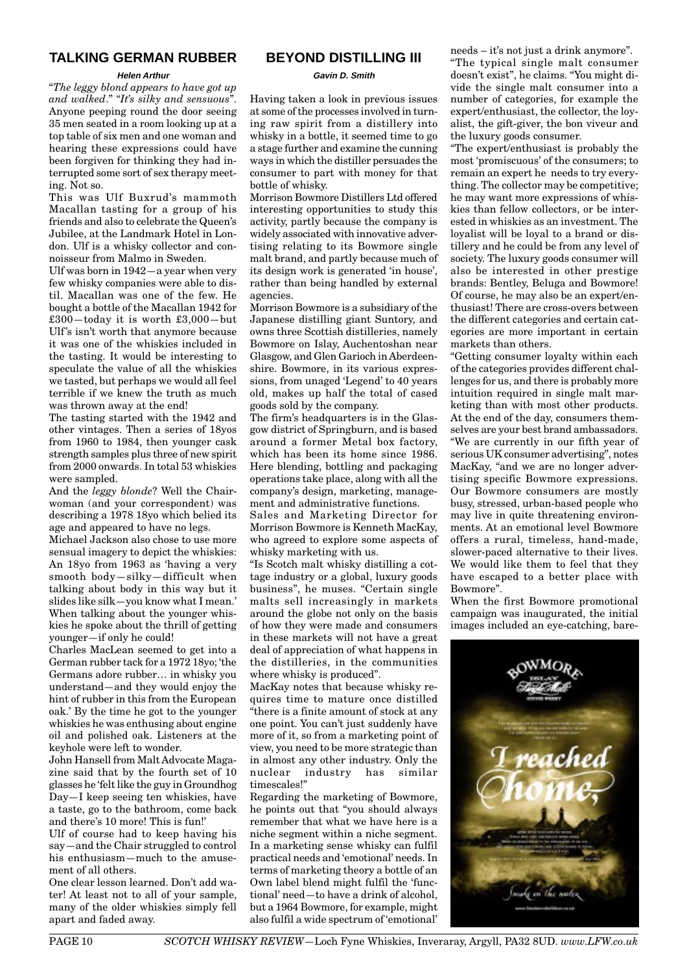#### **TALKING GERMAN RUBBER**

#### **Helen Arthur**

"*The leggy blond appears to have got up and walked*." "*It's silky and sensuous*". Anyone peeping round the door seeing 35 men seated in a room looking up at a top table of six men and one woman and hearing these expressions could have been forgiven for thinking they had interrupted some sort of sex therapy meeting. Not so.

This was Ulf Buxrud's mammoth Macallan tasting for a group of his friends and also to celebrate the Queen's Jubilee, at the Landmark Hotel in London. Ulf is a whisky collector and connoisseur from Malmo in Sweden.

Ulf was born in 1942—a year when very few whisky companies were able to distil. Macallan was one of the few. He bought a bottle of the Macallan 1942 for £300—today it is worth £3,000—but Ulf's isn't worth that anymore because it was one of the whiskies included in the tasting. It would be interesting to speculate the value of all the whiskies we tasted, but perhaps we would all feel terrible if we knew the truth as much was thrown away at the end!

The tasting started with the 1942 and other vintages. Then a series of 18yos from 1960 to 1984, then younger cask strength samples plus three of new spirit from 2000 onwards. In total 53 whiskies were sampled.

And the *leggy blonde*? Well the Chairwoman (and your correspondent) was describing a 1978 18yo which belied its age and appeared to have no legs.

Michael Jackson also chose to use more sensual imagery to depict the whiskies: An 18yo from 1963 as 'having a very smooth body—silky—difficult when talking about body in this way but it slides like silk—you know what I mean.' When talking about the younger whiskies he spoke about the thrill of getting younger—if only he could!

Charles MacLean seemed to get into a German rubber tack for a 1972 18yo; 'the Germans adore rubber… in whisky you understand—and they would enjoy the hint of rubber in this from the European oak.' By the time he got to the younger whiskies he was enthusing about engine oil and polished oak. Listeners at the keyhole were left to wonder.

John Hansell from Malt Advocate Magazine said that by the fourth set of 10 glasses he 'felt like the guy in Groundhog Day—I keep seeing ten whiskies, have a taste, go to the bathroom, come back and there's 10 more! This is fun!'

Ulf of course had to keep having his say—and the Chair struggled to control his enthusiasm—much to the amusement of all others.

One clear lesson learned. Don't add water! At least not to all of your sample, many of the older whiskies simply fell apart and faded away.

#### **BEYOND DISTILLING III**

**Gavin D. Smith**

Having taken a look in previous issues at some of the processes involved in turning raw spirit from a distillery into whisky in a bottle, it seemed time to go a stage further and examine the cunning ways in which the distiller persuades the consumer to part with money for that bottle of whisky.

Morrison Bowmore Distillers Ltd offered interesting opportunities to study this activity, partly because the company is widely associated with innovative advertising relating to its Bowmore single malt brand, and partly because much of its design work is generated 'in house', rather than being handled by external agencies.

Morrison Bowmore is a subsidiary of the Japanese distilling giant Suntory, and owns three Scottish distilleries, namely Bowmore on Islay, Auchentoshan near Glasgow, and Glen Garioch in Aberdeenshire. Bowmore, in its various expressions, from unaged 'Legend' to 40 years old, makes up half the total of cased goods sold by the company.

The firm's headquarters is in the Glasgow district of Springburn, and is based around a former Metal box factory, which has been its home since 1986. Here blending, bottling and packaging operations take place, along with all the company's design, marketing, management and administrative functions.

Sales and Marketing Director for Morrison Bowmore is Kenneth MacKay, who agreed to explore some aspects of whisky marketing with us.

"Is Scotch malt whisky distilling a cottage industry or a global, luxury goods business", he muses. "Certain single malts sell increasingly in markets around the globe not only on the basis of how they were made and consumers in these markets will not have a great deal of appreciation of what happens in the distilleries, in the communities where whisky is produced".

MacKay notes that because whisky requires time to mature once distilled "there is a finite amount of stock at any one point. You can't just suddenly have more of it, so from a marketing point of view, you need to be more strategic than in almost any other industry. Only the nuclear industry has similar timescales!"

Regarding the marketing of Bowmore, he points out that "you should always remember that what we have here is a niche segment within a niche segment. In a marketing sense whisky can fulfil practical needs and 'emotional' needs. In terms of marketing theory a bottle of an Own label blend might fulfil the 'functional' need—to have a drink of alcohol, but a 1964 Bowmore, for example, might also fulfil a wide spectrum of 'emotional'

needs – it's not just a drink anymore". "The typical single malt consumer doesn't exist", he claims. "You might divide the single malt consumer into a number of categories, for example the expert/enthusiast, the collector, the loyalist, the gift-giver, the bon viveur and the luxury goods consumer.

"The expert/enthusiast is probably the most 'promiscuous' of the consumers; to remain an expert he needs to try everything. The collector may be competitive; he may want more expressions of whiskies than fellow collectors, or be interested in whiskies as an investment. The loyalist will be loyal to a brand or distillery and he could be from any level of society. The luxury goods consumer will also be interested in other prestige brands: Bentley, Beluga and Bowmore! Of course, he may also be an expert/enthusiast! There are cross-overs between the different categories and certain categories are more important in certain markets than others.

"Getting consumer loyalty within each of the categories provides different challenges for us, and there is probably more intuition required in single malt marketing than with most other products. At the end of the day, consumers themselves are your best brand ambassadors. "We are currently in our fifth year of serious UK consumer advertising", notes MacKay, "and we are no longer advertising specific Bowmore expressions. Our Bowmore consumers are mostly busy, stressed, urban-based people who may live in quite threatening environments. At an emotional level Bowmore offers a rural, timeless, hand-made, slower-paced alternative to their lives. We would like them to feel that they have escaped to a better place with Bowmore".

When the first Bowmore promotional campaign was inaugurated, the initial images included an eye-catching, bare-

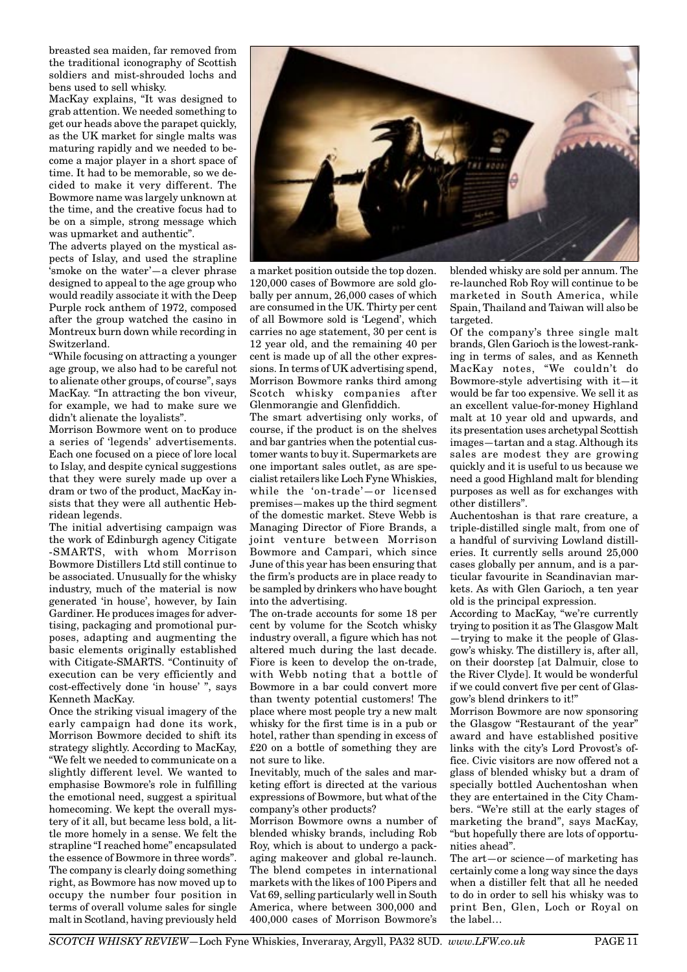breasted sea maiden, far removed from the traditional iconography of Scottish soldiers and mist-shrouded lochs and bens used to sell whisky.

MacKay explains, "It was designed to grab attention. We needed something to get our heads above the parapet quickly, as the UK market for single malts was maturing rapidly and we needed to become a major player in a short space of time. It had to be memorable, so we decided to make it very different. The Bowmore name was largely unknown at the time, and the creative focus had to be on a simple, strong message which was upmarket and authentic".

The adverts played on the mystical aspects of Islay, and used the strapline 'smoke on the water'—a clever phrase designed to appeal to the age group who would readily associate it with the Deep Purple rock anthem of 1972, composed after the group watched the casino in Montreux burn down while recording in Switzerland.

"While focusing on attracting a younger age group, we also had to be careful not to alienate other groups, of course", says MacKay. "In attracting the bon viveur, for example, we had to make sure we didn't alienate the loyalists".

Morrison Bowmore went on to produce a series of 'legends' advertisements. Each one focused on a piece of lore local to Islay, and despite cynical suggestions that they were surely made up over a dram or two of the product, MacKay insists that they were all authentic Hebridean legends.

The initial advertising campaign was the work of Edinburgh agency Citigate -SMARTS, with whom Morrison Bowmore Distillers Ltd still continue to be associated. Unusually for the whisky industry, much of the material is now generated 'in house', however, by Iain Gardiner. He produces images for advertising, packaging and promotional purposes, adapting and augmenting the basic elements originally established with Citigate-SMARTS. "Continuity of execution can be very efficiently and cost-effectively done 'in house' ", says Kenneth MacKay.

Once the striking visual imagery of the early campaign had done its work, Morrison Bowmore decided to shift its strategy slightly. According to MacKay, "We felt we needed to communicate on a slightly different level. We wanted to emphasise Bowmore's role in fulfilling the emotional need, suggest a spiritual homecoming. We kept the overall mystery of it all, but became less bold, a little more homely in a sense. We felt the strapline "I reached home" encapsulated the essence of Bowmore in three words". The company is clearly doing something right, as Bowmore has now moved up to occupy the number four position in terms of overall volume sales for single malt in Scotland, having previously held



a market position outside the top dozen. 120,000 cases of Bowmore are sold globally per annum, 26,000 cases of which are consumed in the UK. Thirty per cent of all Bowmore sold is 'Legend', which carries no age statement, 30 per cent is 12 year old, and the remaining 40 per cent is made up of all the other expressions. In terms of UK advertising spend, Morrison Bowmore ranks third among Scotch whisky companies after Glenmorangie and Glenfiddich.

The smart advertising only works, of course, if the product is on the shelves and bar gantries when the potential customer wants to buy it. Supermarkets are one important sales outlet, as are specialist retailers like Loch Fyne Whiskies, while the 'on-trade'—or licensed premises—makes up the third segment of the domestic market. Steve Webb is Managing Director of Fiore Brands, a joint venture between Morrison Bowmore and Campari, which since June of this year has been ensuring that the firm's products are in place ready to be sampled by drinkers who have bought into the advertising.

The on-trade accounts for some 18 per cent by volume for the Scotch whisky industry overall, a figure which has not altered much during the last decade. Fiore is keen to develop the on-trade, with Webb noting that a bottle of Bowmore in a bar could convert more than twenty potential customers! The place where most people try a new malt whisky for the first time is in a pub or hotel, rather than spending in excess of £20 on a bottle of something they are not sure to like.

Inevitably, much of the sales and marketing effort is directed at the various expressions of Bowmore, but what of the company's other products?

Morrison Bowmore owns a number of blended whisky brands, including Rob Roy, which is about to undergo a packaging makeover and global re-launch. The blend competes in international markets with the likes of 100 Pipers and Vat 69, selling particularly well in South America, where between 300,000 and 400,000 cases of Morrison Bowmore's

blended whisky are sold per annum. The re-launched Rob Roy will continue to be marketed in South America, while Spain, Thailand and Taiwan will also be targeted.

Of the company's three single malt brands, Glen Garioch is the lowest-ranking in terms of sales, and as Kenneth MacKay notes, "We couldn't do Bowmore-style advertising with it—it would be far too expensive. We sell it as an excellent value-for-money Highland malt at 10 year old and upwards, and its presentation uses archetypal Scottish images—tartan and a stag. Although its sales are modest they are growing quickly and it is useful to us because we need a good Highland malt for blending purposes as well as for exchanges with other distillers".

Auchentoshan is that rare creature, a triple-distilled single malt, from one of a handful of surviving Lowland distilleries. It currently sells around 25,000 cases globally per annum, and is a particular favourite in Scandinavian markets. As with Glen Garioch, a ten year old is the principal expression.

According to MacKay, "we're currently trying to position it as The Glasgow Malt

—trying to make it the people of Glasgow's whisky. The distillery is, after all, on their doorstep [at Dalmuir, close to the River Clyde]. It would be wonderful if we could convert five per cent of Glasgow's blend drinkers to it!"

Morrison Bowmore are now sponsoring the Glasgow "Restaurant of the year" award and have established positive links with the city's Lord Provost's office. Civic visitors are now offered not a glass of blended whisky but a dram of specially bottled Auchentoshan when they are entertained in the City Chambers. "We're still at the early stages of marketing the brand", says MacKay, "but hopefully there are lots of opportunities ahead".

The art—or science—of marketing has certainly come a long way since the days when a distiller felt that all he needed to do in order to sell his whisky was to print Ben, Glen, Loch or Royal on the label…